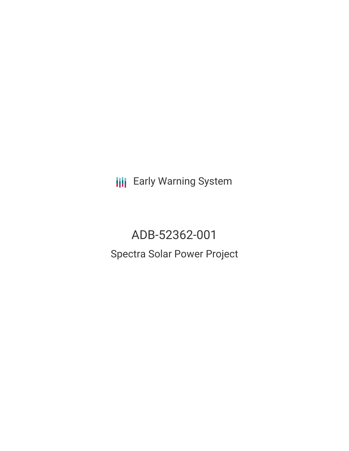**III** Early Warning System

ADB-52362-001 Spectra Solar Power Project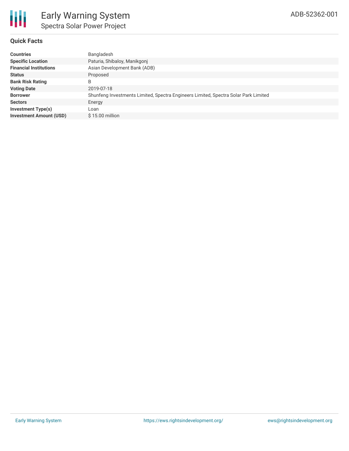# **Quick Facts**

| <b>Countries</b>               | Bangladesh                                                                          |
|--------------------------------|-------------------------------------------------------------------------------------|
| <b>Specific Location</b>       | Paturia, Shibaloy, Manikgonj                                                        |
| <b>Financial Institutions</b>  | Asian Development Bank (ADB)                                                        |
| <b>Status</b>                  | Proposed                                                                            |
| <b>Bank Risk Rating</b>        | B                                                                                   |
| <b>Voting Date</b>             | 2019-07-18                                                                          |
| <b>Borrower</b>                | Shunfeng Investments Limited, Spectra Engineers Limited, Spectra Solar Park Limited |
| <b>Sectors</b>                 | Energy                                                                              |
| <b>Investment Type(s)</b>      | Loan                                                                                |
| <b>Investment Amount (USD)</b> | $$15.00$ million                                                                    |
|                                |                                                                                     |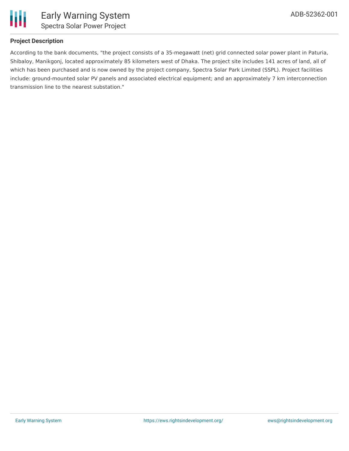

## **Project Description**

According to the bank documents, "the project consists of a 35-megawatt (net) grid connected solar power plant in Paturia, Shibaloy, Manikgonj, located approximately 85 kilometers west of Dhaka. The project site includes 141 acres of land, all of which has been purchased and is now owned by the project company, Spectra Solar Park Limited (SSPL). Project facilities include: ground-mounted solar PV panels and associated electrical equipment; and an approximately 7 km interconnection transmission line to the nearest substation."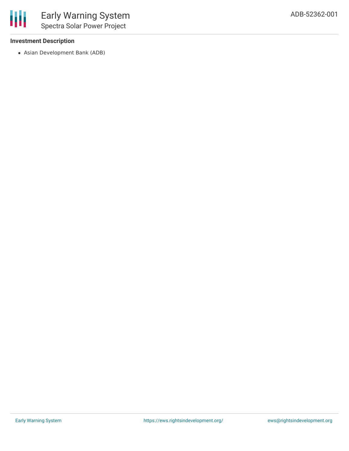## **Investment Description**

Asian Development Bank (ADB)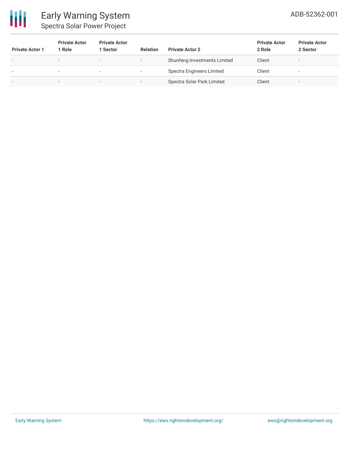

| <b>Private Actor 1</b> | <b>Private Actor</b><br>1 Role | <b>Private Actor</b><br>Sector | <b>Relation</b>          | <b>Private Actor 2</b>       | <b>Private Actor</b><br>2 Role | <b>Private Actor</b><br>2 Sector |
|------------------------|--------------------------------|--------------------------------|--------------------------|------------------------------|--------------------------------|----------------------------------|
|                        | -                              | $\overline{\phantom{0}}$       | $\overline{\phantom{a}}$ | Shunfeng Investments Limited | Client                         | $\sim$                           |
|                        | $\overline{\phantom{a}}$       | $\overline{\phantom{a}}$       | $\overline{\phantom{a}}$ | Spectra Engineers Limited    | Client                         | $\,$                             |
|                        | -                              | $\sim$                         |                          | Spectra Solar Park Limited   | Client                         | -                                |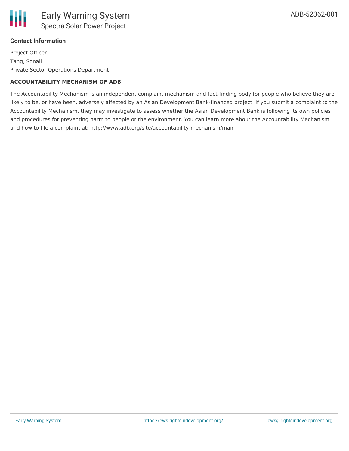

### **Contact Information**

Project Officer Tang, Sonali Private Sector Operations Department

#### **ACCOUNTABILITY MECHANISM OF ADB**

The Accountability Mechanism is an independent complaint mechanism and fact-finding body for people who believe they are likely to be, or have been, adversely affected by an Asian Development Bank-financed project. If you submit a complaint to the Accountability Mechanism, they may investigate to assess whether the Asian Development Bank is following its own policies and procedures for preventing harm to people or the environment. You can learn more about the Accountability Mechanism and how to file a complaint at: http://www.adb.org/site/accountability-mechanism/main